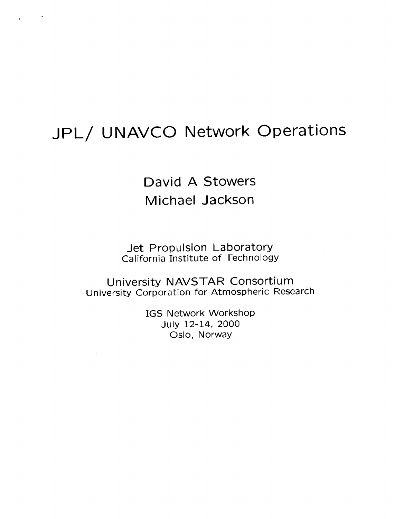## JPL/ UNAVCO Network Operations

David A Stowers Michael Jackson

Jet Propulsion Laboratory California Institute of Technology

University NAVSTAR Consortium University Corporation for Atmospheric Research

> IGS Network Workshop Oslo, Norway July 12-14, 2000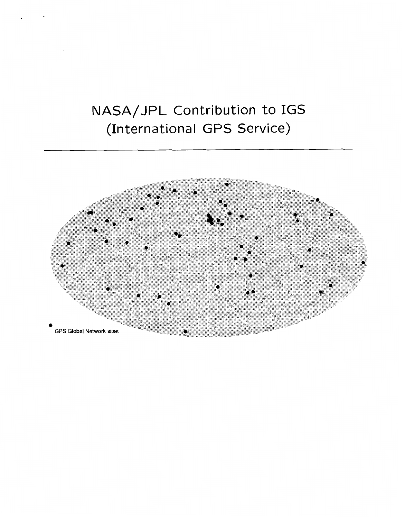# NASA/JPL Contribution to IGS (International GPS Service)

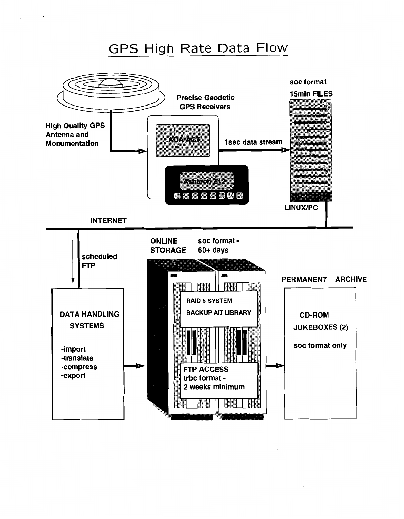#### GPS High Rate Data Flow

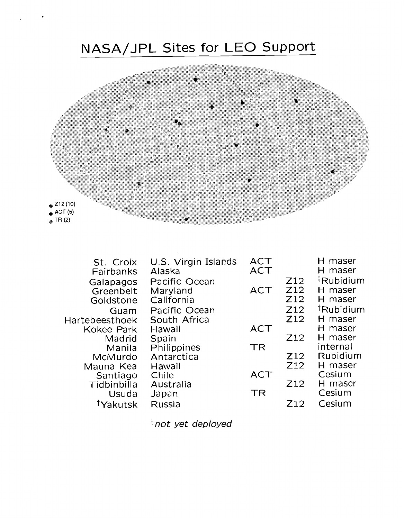

| St. Croix<br>Fairbanks | U.S. Virgin Islands<br>Alaska | <b>ACT</b><br><b>ACT</b> |                 | H maser<br>H maser    |
|------------------------|-------------------------------|--------------------------|-----------------|-----------------------|
| Galapagos              | Pacific Ocean                 |                          | Z <sub>12</sub> | <sup>†</sup> Rubidium |
| Greenbelt              | Maryland                      | <b>ACT</b>               | Z12             | H maser               |
| Goldstone              | California                    |                          | Z <sub>12</sub> | H maser               |
| Guam                   | Pacific Ocean                 |                          | Z <sub>12</sub> | <sup>†</sup> Rubidium |
| Hartebeesthoek         | South Africa                  |                          | Z <sub>12</sub> | H maser               |
| <b>Kokee Park</b>      | Hawaii                        | <b>ACT</b>               |                 | H maser               |
| Madrid                 | Spain                         |                          | Z12             | H maser               |
| Manila                 | Philippines                   | <b>TR</b>                |                 | internal              |
| McMurdo                | Antarctica                    |                          | Z <sub>12</sub> | Rubidium              |
| Mauna Kea              | Hawaii                        |                          | Z <sub>12</sub> | H maser               |
| Santiago               | Chile                         | ACT                      |                 | Cesium                |
| Tidbinbilla            | Australia                     |                          | Z <sub>12</sub> | H maser               |
| Usuda                  | Japan                         | <b>TR</b>                |                 | Cesium                |
| Yakutsk                | Russia                        |                          | 712             | Cesium                |

tnot yet deployed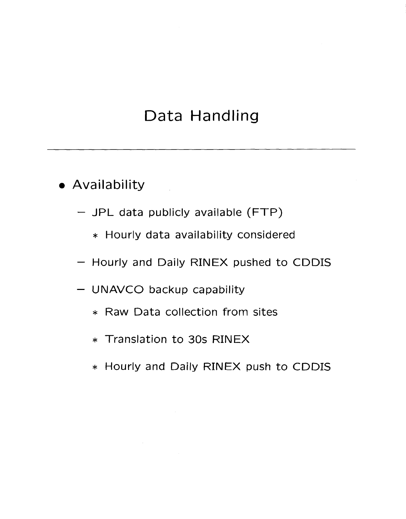### Data Handling

- Availability
	- JPL data publicly available (FTP)
		- \* Hourly data availability considered
	- Hourly and Daily RINEX pushed to CDDIS
	- UNAVCO backup capability
		- \* Raw Data collection from sites
		- \* Translation to 30s RINEX
		- \* Hourly and Daily RINEX push to CDDIS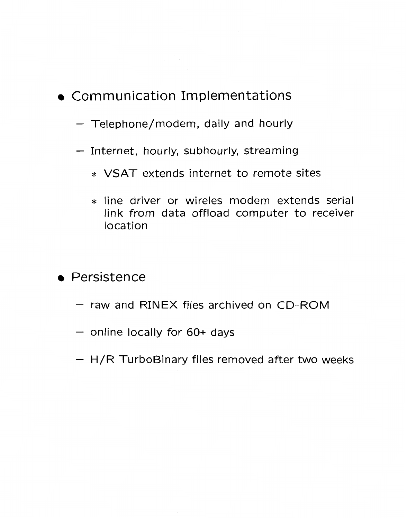### Communication Implementations

- Telephone/modem, daily and hourly
- Internet, hourly, subhourly, streaming
	- \* VSAT extends internet to remote sites
	- \* line driver or wireles modem extends serial link from data offload computer to receiver location

#### • Persistence

- raw and RINEX files archived on CD-ROM
- online locally for *60+* days
- $-$  H/R TurboBinary files removed after two weeks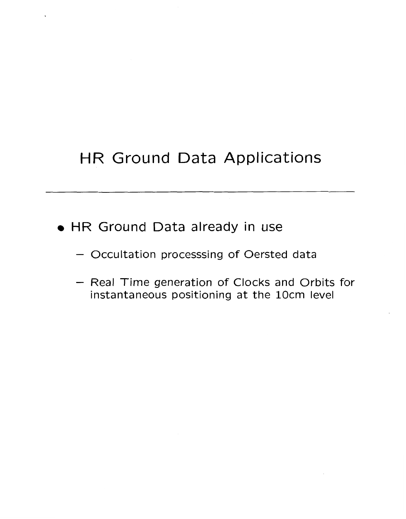# HR Ground Data Applications

- HR Ground Data already in use
	- Occultation processsing of Oersted data
	- Real Time generation of Clocks and Orbits for instantaneous positioning at the 1Ocm level